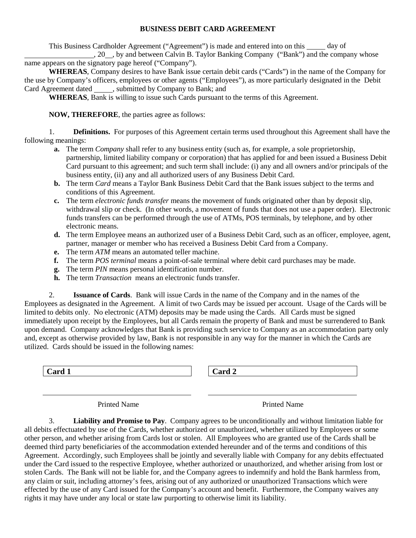## **BUSINESS DEBIT CARD AGREEMENT**

This Business Cardholder Agreement ("Agreement") is made and entered into on this day of

, 20  $\ldots$ , by and between Calvin B. Taylor Banking Company ("Bank") and the company whose name appears on the signatory page hereof ("Company").

**WHEREAS**, Company desires to have Bank issue certain debit cards ("Cards") in the name of the Company for the use by Company's officers, employees or other agents ("Employees"), as more particularly designated in the Debit Card Agreement dated , submitted by Company to Bank; and

**WHEREAS**, Bank is willing to issue such Cards pursuant to the terms of this Agreement.

**NOW, THEREFORE**, the parties agree as follows:

1. **Definitions.** For purposes of this Agreement certain terms used throughout this Agreement shall have the following meanings:

- **a.** The term *Company* shall refer to any business entity (such as, for example, a sole proprietorship, partnership, limited liability company or corporation) that has applied for and been issued a Business Debit Card pursuant to this agreement; and such term shall include: (i) any and all owners and/or principals of the business entity, (ii) any and all authorized users of any Business Debit Card.
- **b.** The term *Card* means a Taylor Bank Business Debit Card that the Bank issues subject to the terms and conditions of this Agreement.
- **c.** The term *electronic funds transfer* means the movement of funds originated other than by deposit slip, withdrawal slip or check. (In other words, a movement of funds that does not use a paper order). Electronic funds transfers can be performed through the use of ATMs, POS terminals, by telephone, and by other electronic means.
- **d.** The term Employee means an authorized user of a Business Debit Card, such as an officer, employee, agent, partner, manager or member who has received a Business Debit Card from a Company.
- **e.** The term *ATM* means an automated teller machine.
- **f.** The term *POS terminal* means a point-of-sale terminal where debit card purchases may be made.
- **g.** The term *PIN* means personal identification number.
- **h.** The term *Transaction* means an electronic funds transfer.

2. **Issuance of Cards**. Bank will issue Cards in the name of the Company and in the names of the Employees as designated in the Agreement. A limit of two Cards may be issued per account. Usage of the Cards will be limited to debits only. No electronic (ATM) deposits may be made using the Cards. All Cards must be signed immediately upon receipt by the Employees, but all Cards remain the property of Bank and must be surrendered to Bank upon demand. Company acknowledges that Bank is providing such service to Company as an accommodation party only and, except as otherwise provided by law, Bank is not responsible in any way for the manner in which the Cards are utilized. Cards should be issued in the following names:

**Card 1 Card 2**

| $\mathsf{I}$<br>l ara<br>◢ |
|----------------------------|
|----------------------------|

Printed Name Printed Name

3. **Liability and Promise to Pay**. Company agrees to be unconditionally and without limitation liable for all debits effectuated by use of the Cards, whether authorized or unauthorized, whether utilized by Employees or some other person, and whether arising from Cards lost or stolen. All Employees who are granted use of the Cards shall be deemed third party beneficiaries of the accommodation extended hereunder and of the terms and conditions of this Agreement. Accordingly, such Employees shall be jointly and severally liable with Company for any debits effectuated under the Card issued to the respective Employee, whether authorized or unauthorized, and whether arising from lost or stolen Cards. The Bank will not be liable for, and the Company agrees to indemnify and hold the Bank harmless from, any claim or suit, including attorney's fees, arising out of any authorized or unauthorized Transactions which were effected by the use of any Card issued for the Company's account and benefit. Furthermore, the Company waives any rights it may have under any local or state law purporting to otherwise limit its liability.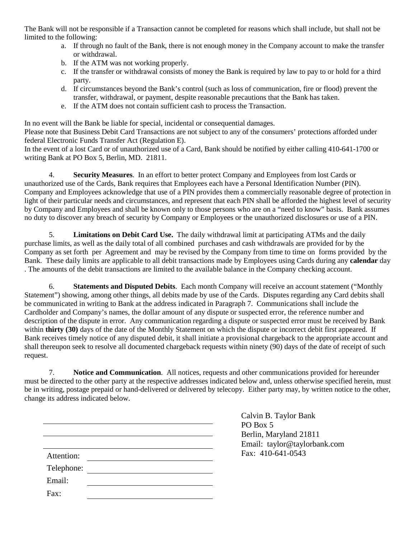The Bank will not be responsible if a Transaction cannot be completed for reasons which shall include, but shall not be limited to the following:

- a. If through no fault of the Bank, there is not enough money in the Company account to make the transfer or withdrawal.
- b. If the ATM was not working properly.
- c. If the transfer or withdrawal consists of money the Bank is required by law to pay to or hold for a third party.
- d. If circumstances beyond the Bank's control (such as loss of communication, fire or flood) prevent the transfer, withdrawal, or payment, despite reasonable precautions that the Bank has taken.
- e. If the ATM does not contain sufficient cash to process the Transaction.

In no event will the Bank be liable for special, incidental or consequential damages. Please note that Business Debit Card Transactions are not subject to any of the consumers' protections afforded under federal Electronic Funds Transfer Act (Regulation E).

In the event of a lost Card or of unauthorized use of a Card, Bank should be notified by either calling 410-641-1700 or writing Bank at PO Box 5, Berlin, MD. 21811.

4. **Security Measures**. In an effort to better protect Company and Employees from lost Cards or unauthorized use of the Cards, Bank requires that Employees each have a Personal Identification Number (PIN). Company and Employees acknowledge that use of a PIN provides them a commercially reasonable degree of protection in light of their particular needs and circumstances, and represent that each PIN shall be afforded the highest level of security by Company and Employees and shall be known only to those persons who are on a "need to know" basis. Bank assumes no duty to discover any breach of security by Company or Employees or the unauthorized disclosures or use of a PIN.

5. **Limitations on Debit Card Use.** The daily withdrawal limit at participating ATMs and the daily purchase limits, as well as the daily total of all combined purchases and cash withdrawals are provided for by the Company as set forth per Agreement and may be revised by the Company from time to time on forms provided by the Bank. These daily limits are applicable to all debit transactions made by Employees using Cards during any **calendar** day . The amounts of the debit transactions are limited to the available balance in the Company checking account.

6. **Statements and Disputed Debits**. Each month Company will receive an account statement ("Monthly Statement") showing, among other things, all debits made by use of the Cards. Disputes regarding any Card debits shall be communicated in writing to Bank at the address indicated in Paragraph 7. Communications shall include the Cardholder and Company's names, the dollar amount of any dispute or suspected error, the reference number and description of the dispute in error. Any communication regarding a dispute or suspected error must be received by Bank within **thirty (30)** days of the date of the Monthly Statement on which the dispute or incorrect debit first appeared. If Bank receives timely notice of any disputed debit, it shall initiate a provisional chargeback to the appropriate account and shall thereupon seek to resolve all documented chargeback requests within ninety (90) days of the date of receipt of such request.

7. **Notice and Communication**. All notices, requests and other communications provided for hereunder must be directed to the other party at the respective addresses indicated below and, unless otherwise specified herein, must be in writing, postage prepaid or hand-delivered or delivered by telecopy. Either party may, by written notice to the other, change its address indicated below.

|            | Calvin B. Taylor Bank        |
|------------|------------------------------|
|            | PO Box 5                     |
|            | Berlin, Maryland 21811       |
|            | Email: taylor@taylorbank.com |
| Attention: | Fax: 410-641-0543            |
| Telephone: |                              |
| Email:     |                              |
| Fax:       |                              |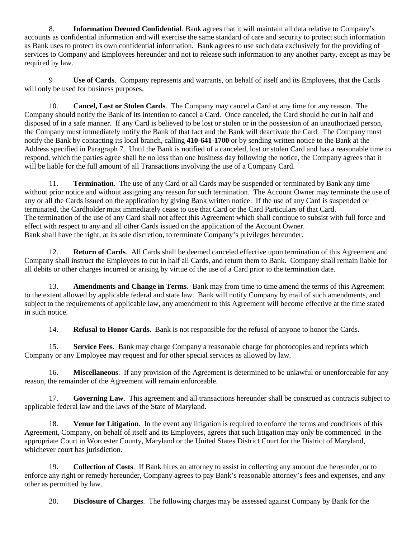8. **Information Deemed Confidential**. Bank agrees that it will maintain all data relative to Company's accounts as confidential information and will exercise the same standard of care and security to protect such information as Bank uses to protect its own confidential information. Bank agrees to use such data exclusively for the providing of services to Company and Employees hereunder and not to release such information to any another party, except as may be required by law.

 9 **Use of Cards**. Company represents and warrants, on behalf of itself and its Employees, that the Cards will only be used for business purposes.

10. **Cancel, Lost or Stolen Cards**. The Company may cancel a Card at any time for any reason. The Company should notify the Bank of its intention to cancel a Card. Once canceled, the Card should be cut in half and disposed of in a safe manner. If any Card is believed to be lost or stolen or in the possession of an unauthorized person, the Company must immediately notify the Bank of that fact and the Bank will deactivate the Card. The Company must notify the Bank by contacting its local branch, calling **410-641-1700** or by sending written notice to the Bank at the Address specified in Paragraph 7. Until the Bank is notified of a canceled, lost or stolen Card and has a reasonable time to respond, which the parties agree shall be no less than one business day following the notice, the Company agrees that it will be liable for the full amount of all Transactions involving the use of a Company Card.

11. **Termination**. The use of any Card or all Cards may be suspended or terminated by Bank any time without prior notice and without assigning any reason for such termination. The Account Owner may terminate the use of any or all the Cards issued on the application by giving Bank written notice. If the use of any Card is suspended or terminated, the Cardholder must immediately cease to use that Card or the Card Particulars of that Card. The termination of the use of any Card shall not affect this Agreement which shall continue to subsist with full force and effect with respect to any and all other Cards issued on the application of the Account Owner. Bank shall have the right, at its sole discretion, to terminate Company's privileges hereunder.

 12. **Return of Cards**. All Cards shall be deemed canceled effective upon termination of this Agreement and Company shall instruct the Employees to cut in half all Cards, and return them to Bank. Company shall remain liable for all debits or other charges incurred or arising by virtue of the use of a Card prior to the termination date.

 13. **Amendments and Change in Terms**. Bank may from time to time amend the terms of this Agreement to the extent allowed by applicable federal and state law. Bank will notify Company by mail of such amendments, and subject to the requirements of applicable law, any amendment to this Agreement will become effective at the time stated in such notice.

14. **Refusal to Honor Cards**. Bank is not responsible for the refusal of anyone to honor the Cards.

15. **Service Fees**. Bank may charge Company a reasonable charge for photocopies and reprints which Company or any Employee may request and for other special services as allowed by law.

 16. **Miscellaneous**. If any provision of the Agreement is determined to be unlawful or unenforceable for any reason, the remainder of the Agreement will remain enforceable.

 17. **Governing Law**. This agreement and all transactions hereunder shall be construed as contracts subject to applicable federal law and the laws of the State of Maryland.

 18. **Venue for Litigation**. In the event any litigation is required to enforce the terms and conditions of this Agreement, Company, on behalf of itself and its Employees, agrees that such litigation may only be commenced in the appropriate Court in Worcester County, Maryland or the United States District Court for the District of Maryland, whichever court has jurisdiction.

 19. **Collection of Costs**. If Bank hires an attorney to assist in collecting any amount due hereunder, or to enforce any right or remedy hereunder, Company agrees to pay Bank's reasonable attorney's fees and expenses, and any other as permitted by law.

20. **Disclosure of Charges**. The following charges may be assessed against Company by Bank for the